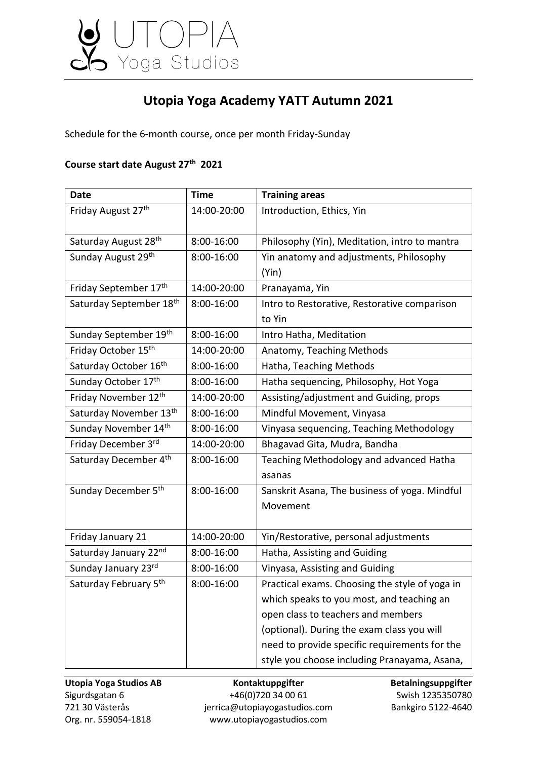

## **Utopia Yoga Academy YATT Autumn 2021**

Schedule for the 6-month course, once per month Friday-Sunday

## **Course start date August 27th 2021**

| <b>Date</b>                      | <b>Time</b> | <b>Training areas</b>                          |
|----------------------------------|-------------|------------------------------------------------|
| Friday August 27th               | 14:00-20:00 | Introduction, Ethics, Yin                      |
|                                  |             |                                                |
| Saturday August 28 <sup>th</sup> | 8:00-16:00  | Philosophy (Yin), Meditation, intro to mantra  |
| Sunday August 29th               | 8:00-16:00  | Yin anatomy and adjustments, Philosophy        |
|                                  |             | (Yin)                                          |
| Friday September 17th            | 14:00-20:00 | Pranayama, Yin                                 |
| Saturday September 18th          | 8:00-16:00  | Intro to Restorative, Restorative comparison   |
|                                  |             | to Yin                                         |
| Sunday September 19th            | 8:00-16:00  | Intro Hatha, Meditation                        |
| Friday October 15th              | 14:00-20:00 | Anatomy, Teaching Methods                      |
| Saturday October 16th            | 8:00-16:00  | Hatha, Teaching Methods                        |
| Sunday October 17th              | 8:00-16:00  | Hatha sequencing, Philosophy, Hot Yoga         |
| Friday November 12th             | 14:00-20:00 | Assisting/adjustment and Guiding, props        |
| Saturday November 13th           | 8:00-16:00  | Mindful Movement, Vinyasa                      |
| Sunday November 14th             | 8:00-16:00  | Vinyasa sequencing, Teaching Methodology       |
| Friday December 3rd              | 14:00-20:00 | Bhagavad Gita, Mudra, Bandha                   |
| Saturday December 4th            | 8:00-16:00  | Teaching Methodology and advanced Hatha        |
|                                  |             | asanas                                         |
| Sunday December 5 <sup>th</sup>  | 8:00-16:00  | Sanskrit Asana, The business of yoga. Mindful  |
|                                  |             | Movement                                       |
|                                  |             |                                                |
| Friday January 21                | 14:00-20:00 | Yin/Restorative, personal adjustments          |
| Saturday January 22nd            | 8:00-16:00  | Hatha, Assisting and Guiding                   |
| Sunday January 23rd              | 8:00-16:00  | Vinyasa, Assisting and Guiding                 |
| Saturday February 5th            | 8:00-16:00  | Practical exams. Choosing the style of yoga in |
|                                  |             | which speaks to you most, and teaching an      |
|                                  |             | open class to teachers and members             |
|                                  |             | (optional). During the exam class you will     |
|                                  |             | need to provide specific requirements for the  |
|                                  |             | style you choose including Pranayama, Asana,   |

**Utopia Yoga Studios AB Kontaktuppgifter Betalningsuppgifter** Sigurdsgatan 6 +46(0)720 34 00 61 Swish 1235350780 721 30 Västerås innungigal var jerrica@utopiayogastudios.com Bankgiro 5122-4640 Org. nr. 559054-1818 www.utopiayogastudios.com